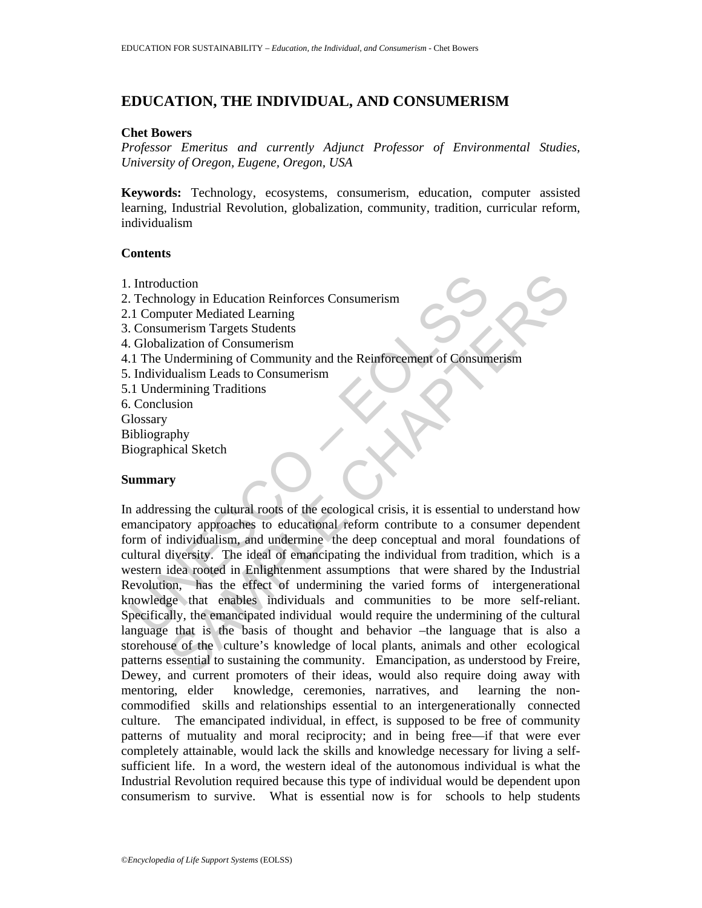# **EDUCATION, THE INDIVIDUAL, AND CONSUMERISM**

### **Chet Bowers**

*Professor Emeritus and currently Adjunct Professor of Environmental Studies, University of Oregon, Eugene, Oregon, USA* 

**Keywords:** Technology, ecosystems, consumerism, education, computer assisted learning, Industrial Revolution, globalization, community, tradition, curricular reform, individualism

## **Contents**

- 1. Introduction
- 2. Technology in Education Reinforces Consumerism
- 2.1 Computer Mediated Learning
- 3. Consumerism Targets Students
- 4. Globalization of Consumerism
- 4.1 The Undermining of Community and the Reinforcement of Consumerism
- 5. Individualism Leads to Consumerism
- 5.1 Undermining Traditions
- 6. Conclusion
- **Glossary**
- Bibliography
- Biographical Sketch

## **Summary**

Introduction<br>
Technology in Education Reinforces Consumerism<br>
1. Computer Mediated Learning<br>
Consumerism<br>
Colobalization of Consumerism<br>
1. The Undermining of Community and the Reinforcement of Consum<br>
1. Individualism Lea uction<br>
ology in Education Reinforces Consumerism<br>
merism Targets Students<br>
lization of Consumerism<br>
lization of Consumerism<br>
lization of Consumerism<br>
lization of Consumerism<br>
dualism Leads to Consumerism<br>
stand<br>
standaris In addressing the cultural roots of the ecological crisis, it is essential to understand how emancipatory approaches to educational reform contribute to a consumer dependent form of individualism, and undermine the deep conceptual and moral foundations of cultural diversity. The ideal of emancipating the individual from tradition, which is a western idea rooted in Enlightenment assumptions that were shared by the Industrial Revolution, has the effect of undermining the varied forms of intergenerational knowledge that enables individuals and communities to be more self-reliant. Specifically, the emancipated individual would require the undermining of the cultural language that is the basis of thought and behavior –the language that is also a storehouse of the culture's knowledge of local plants, animals and other ecological patterns essential to sustaining the community. Emancipation, as understood by Freire, Dewey, and current promoters of their ideas, would also require doing away with mentoring, elder knowledge, ceremonies, narratives, and learning the noncommodified skills and relationships essential to an intergenerationally connected culture. The emancipated individual, in effect, is supposed to be free of community patterns of mutuality and moral reciprocity; and in being free—if that were ever completely attainable, would lack the skills and knowledge necessary for living a selfsufficient life. In a word, the western ideal of the autonomous individual is what the Industrial Revolution required because this type of individual would be dependent upon consumerism to survive. What is essential now is for schools to help students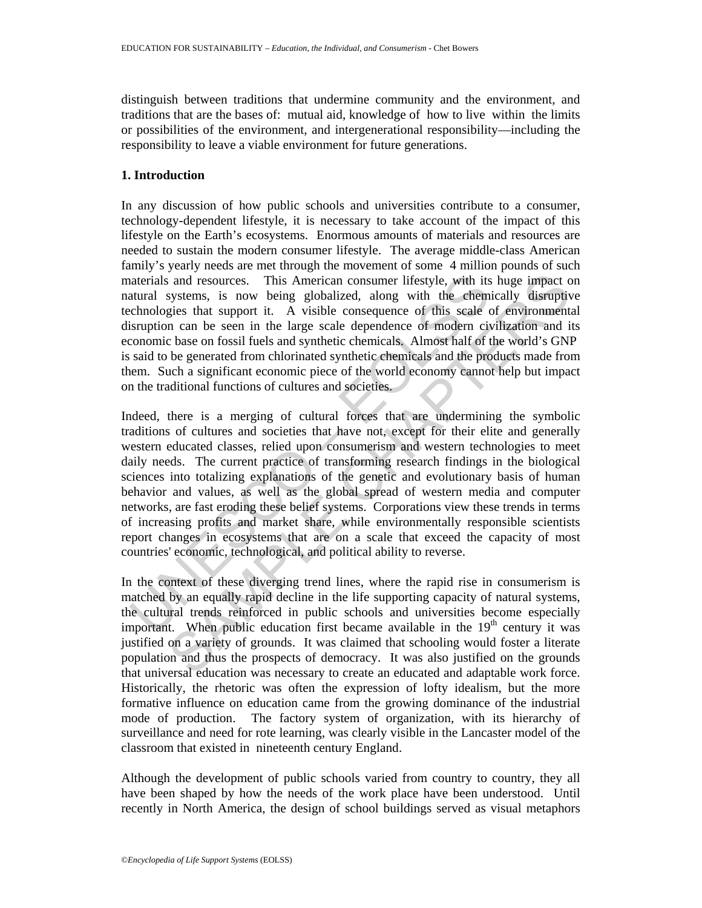distinguish between traditions that undermine community and the environment, and traditions that are the bases of: mutual aid, knowledge of how to live within the limits or possibilities of the environment, and intergenerational responsibility—including the responsibility to leave a viable environment for future generations.

## **1. Introduction**

In any discussion of how public schools and universities contribute to a consumer, technology-dependent lifestyle, it is necessary to take account of the impact of this lifestyle on the Earth's ecosystems. Enormous amounts of materials and resources are needed to sustain the modern consumer lifestyle. The average middle-class American family's yearly needs are met through the movement of some 4 million pounds of such materials and resources. This American consumer lifestyle, with its huge impact on natural systems, is now being globalized, along with the chemically disruptive technologies that support it. A visible consequence of this scale of environmental disruption can be seen in the large scale dependence of modern civilization and its economic base on fossil fuels and synthetic chemicals. Almost half of the world's GNP is said to be generated from chlorinated synthetic chemicals and the products made from them. Such a significant economic piece of the world economy cannot help but impact on the traditional functions of cultures and societies.

aterials and resources. This American consumer lifestyle, with its<br>atural systems, is now being globalized, along with the ehem<br>chnologies that support it. A visible consequence of this scale<br>chronogies that support it. A and resources. This American consumer lifestyle, with its huge impact of systems, is now being globalized, along with the effemically disruptive in can be seen in the large scale dependence of this scale of environmental Indeed, there is a merging of cultural forces that are undermining the symbolic traditions of cultures and societies that have not, except for their elite and generally western educated classes, relied upon consumerism and western technologies to meet daily needs. The current practice of transforming research findings in the biological sciences into totalizing explanations of the genetic and evolutionary basis of human behavior and values, as well as the global spread of western media and computer networks, are fast eroding these belief systems. Corporations view these trends in terms of increasing profits and market share, while environmentally responsible scientists report changes in ecosystems that are on a scale that exceed the capacity of most countries' economic, technological, and political ability to reverse.

In the context of these diverging trend lines, where the rapid rise in consumerism is matched by an equally rapid decline in the life supporting capacity of natural systems, the cultural trends reinforced in public schools and universities become especially important. When public education first became available in the 19<sup>th</sup> century it was justified on a variety of grounds. It was claimed that schooling would foster a literate population and thus the prospects of democracy. It was also justified on the grounds that universal education was necessary to create an educated and adaptable work force. Historically, the rhetoric was often the expression of lofty idealism, but the more formative influence on education came from the growing dominance of the industrial mode of production. The factory system of organization, with its hierarchy of surveillance and need for rote learning, was clearly visible in the Lancaster model of the classroom that existed in nineteenth century England.

Although the development of public schools varied from country to country, they all have been shaped by how the needs of the work place have been understood. Until recently in North America, the design of school buildings served as visual metaphors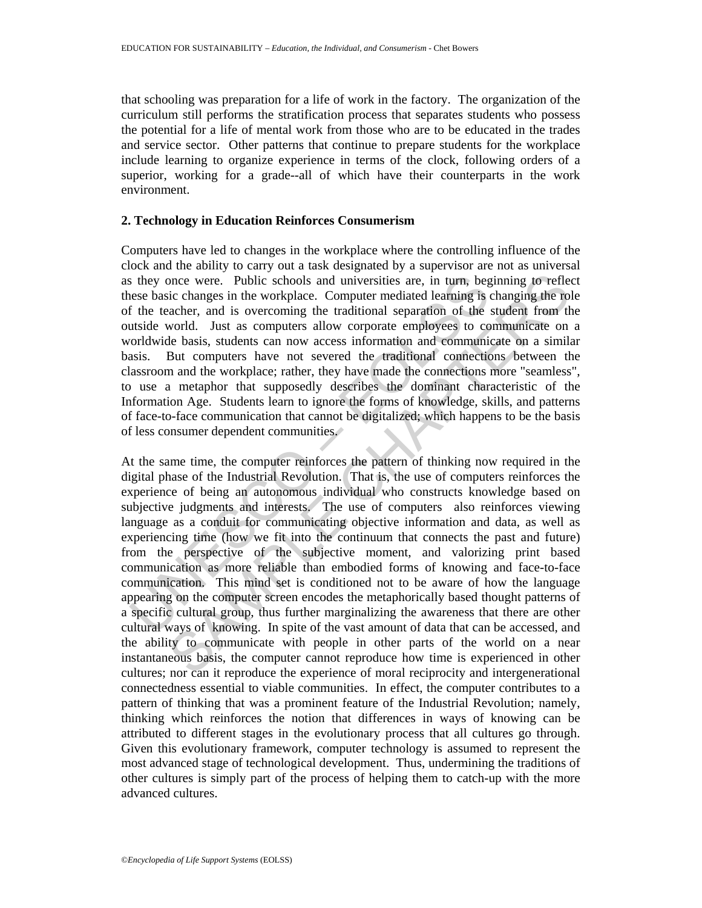that schooling was preparation for a life of work in the factory. The organization of the curriculum still performs the stratification process that separates students who possess the potential for a life of mental work from those who are to be educated in the trades and service sector. Other patterns that continue to prepare students for the workplace include learning to organize experience in terms of the clock, following orders of a superior, working for a grade--all of which have their counterparts in the work environment.

## **2. Technology in Education Reinforces Consumerism**

Computers have led to changes in the workplace where the controlling influence of the clock and the ability to carry out a task designated by a supervisor are not as universal as they once were. Public schools and universities are, in turn, beginning to reflect these basic changes in the workplace. Computer mediated learning is changing the role of the teacher, and is overcoming the traditional separation of the student from the outside world. Just as computers allow corporate employees to communicate on a worldwide basis, students can now access information and communicate on a similar basis. But computers have not severed the traditional connections between the classroom and the workplace; rather, they have made the connections more "seamless", to use a metaphor that supposedly describes the dominant characteristic of the Information Age. Students learn to ignore the forms of knowledge, skills, and patterns of face-to-face communication that cannot be digitalized; which happens to be the basis of less consumer dependent communities.

s they once were. Public schools and universities are, in turn, begase basic changes in the workplace. Computer mediated learning is the teacher, and is overcoming the traditional separation of the traditional schaige that once were. Public schools and universities are, in turn, beginning to reflectio changes in the workplace. Computer mediated learning is changing the role conductor, and is overcoming the traditional separation of the stude At the same time, the computer reinforces the pattern of thinking now required in the digital phase of the Industrial Revolution. That is, the use of computers reinforces the experience of being an autonomous individual who constructs knowledge based on subjective judgments and interests. The use of computers also reinforces viewing language as a conduit for communicating objective information and data, as well as experiencing time (how we fit into the continuum that connects the past and future) from the perspective of the subjective moment, and valorizing print based communication as more reliable than embodied forms of knowing and face-to-face communication. This mind set is conditioned not to be aware of how the language appearing on the computer screen encodes the metaphorically based thought patterns of a specific cultural group, thus further marginalizing the awareness that there are other cultural ways of knowing. In spite of the vast amount of data that can be accessed, and the ability to communicate with people in other parts of the world on a near instantaneous basis, the computer cannot reproduce how time is experienced in other cultures; nor can it reproduce the experience of moral reciprocity and intergenerational connectedness essential to viable communities. In effect, the computer contributes to a pattern of thinking that was a prominent feature of the Industrial Revolution; namely, thinking which reinforces the notion that differences in ways of knowing can be attributed to different stages in the evolutionary process that all cultures go through. Given this evolutionary framework, computer technology is assumed to represent the most advanced stage of technological development. Thus, undermining the traditions of other cultures is simply part of the process of helping them to catch-up with the more advanced cultures.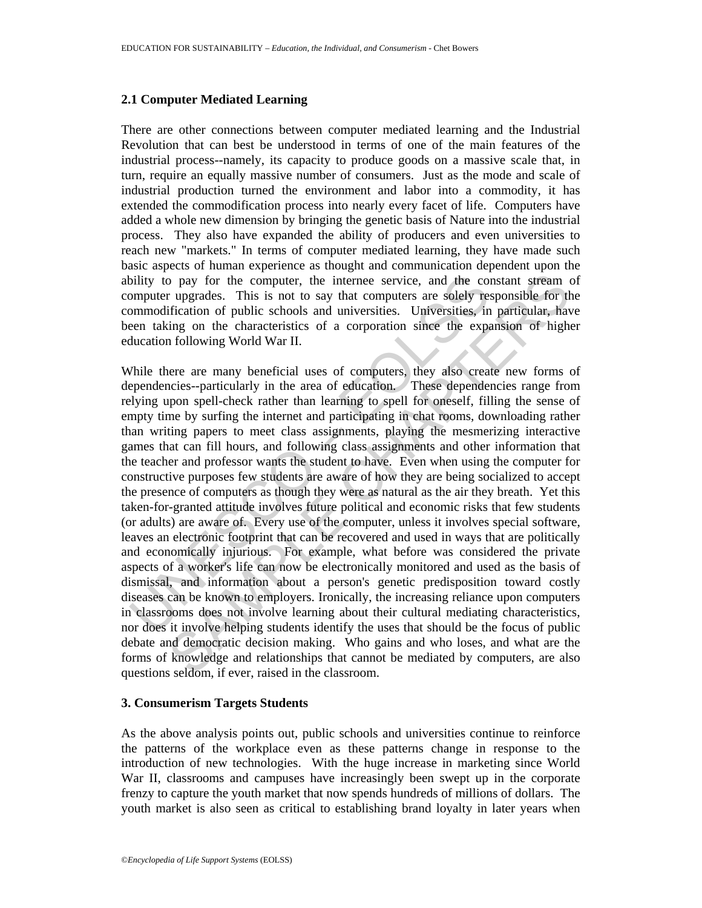### **2.1 Computer Mediated Learning**

There are other connections between computer mediated learning and the Industrial Revolution that can best be understood in terms of one of the main features of the industrial process--namely, its capacity to produce goods on a massive scale that, in turn, require an equally massive number of consumers. Just as the mode and scale of industrial production turned the environment and labor into a commodity, it has extended the commodification process into nearly every facet of life. Computers have added a whole new dimension by bringing the genetic basis of Nature into the industrial process. They also have expanded the ability of producers and even universities to reach new "markets." In terms of computer mediated learning, they have made such basic aspects of human experience as thought and communication dependent upon the ability to pay for the computer, the internee service, and the constant stream of computer upgrades. This is not to say that computers are solely responsible for the commodification of public schools and universities. Universities, in particular, have been taking on the characteristics of a corporation since the expansion of higher education following World War II.

bility to pay for the computer, the internee service, and the computer upgrades. This is not to say that computers are solely resommendification of public schools and universities. Universities, in momendification of publi by pay for the computer, the internee service, and the constant stream correlation of public schools and universities. Universities, in particular, having on the characteristics of a corporation since the expansion of high While there are many beneficial uses of computers, they also create new forms of dependencies--particularly in the area of education. These dependencies range from relying upon spell-check rather than learning to spell for oneself, filling the sense of empty time by surfing the internet and participating in chat rooms, downloading rather than writing papers to meet class assignments, playing the mesmerizing interactive games that can fill hours, and following class assignments and other information that the teacher and professor wants the student to have. Even when using the computer for constructive purposes few students are aware of how they are being socialized to accept the presence of computers as though they were as natural as the air they breath. Yet this taken-for-granted attitude involves future political and economic risks that few students (or adults) are aware of. Every use of the computer, unless it involves special software, leaves an electronic footprint that can be recovered and used in ways that are politically and economically injurious. For example, what before was considered the private aspects of a worker's life can now be electronically monitored and used as the basis of dismissal, and information about a person's genetic predisposition toward costly diseases can be known to employers. Ironically, the increasing reliance upon computers in classrooms does not involve learning about their cultural mediating characteristics, nor does it involve helping students identify the uses that should be the focus of public debate and democratic decision making. Who gains and who loses, and what are the forms of knowledge and relationships that cannot be mediated by computers, are also questions seldom, if ever, raised in the classroom.

### **3. Consumerism Targets Students**

As the above analysis points out, public schools and universities continue to reinforce the patterns of the workplace even as these patterns change in response to the introduction of new technologies. With the huge increase in marketing since World War II, classrooms and campuses have increasingly been swept up in the corporate frenzy to capture the youth market that now spends hundreds of millions of dollars. The youth market is also seen as critical to establishing brand loyalty in later years when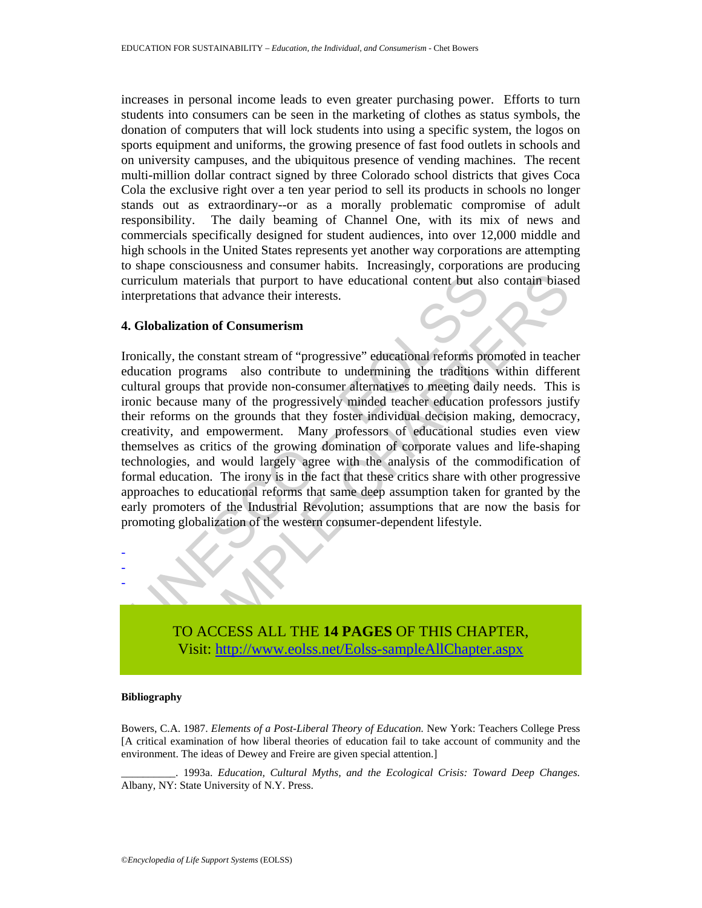increases in personal income leads to even greater purchasing power. Efforts to turn students into consumers can be seen in the marketing of clothes as status symbols, the donation of computers that will lock students into using a specific system, the logos on sports equipment and uniforms, the growing presence of fast food outlets in schools and on university campuses, and the ubiquitous presence of vending machines. The recent multi-million dollar contract signed by three Colorado school districts that gives Coca Cola the exclusive right over a ten year period to sell its products in schools no longer stands out as extraordinary--or as a morally problematic compromise of adult responsibility. The daily beaming of Channel One, with its mix of news and commercials specifically designed for student audiences, into over 12,000 middle and high schools in the United States represents yet another way corporations are attempting to shape consciousness and consumer habits. Increasingly, corporations are producing curriculum materials that purport to have educational content but also contain biased interpretations that advance their interests.

#### **4. Globalization of Consumerism**

urriculum materials that purport to have educational content but als<br>terpretations that advance their interests.<br>
Colobalization of Consumerism<br>
conically, the constant stream of "progressive" educational reforms pro<br>
ultu m materials that purport to have educational content but also contain biase<br>ations that advance their interests.<br>
lization of Consumerism<br>
y, the constant stream of "progressive" educational reforms promoted in teach<br>
n pr Ironically, the constant stream of "progressive" educational reforms promoted in teacher education programs also contribute to undermining the traditions within different cultural groups that provide non-consumer alternatives to meeting daily needs. This is ironic because many of the progressively minded teacher education professors justify their reforms on the grounds that they foster individual decision making, democracy, creativity, and empowerment. Many professors of educational studies even view themselves as critics of the growing domination of corporate values and life-shaping technologies, and would largely agree with the analysis of the commodification of formal education. The irony is in the fact that these critics share with other progressive approaches to educational reforms that same deep assumption taken for granted by the early promoters of the Industrial Revolution; assumptions that are now the basis for promoting globalization of the western consumer-dependent lifestyle.



#### **Bibliography**

- - -

Bowers, C.A. 1987. *Elements of a Post-Liberal Theory of Education.* New York: Teachers College Press [A critical examination of how liberal theories of education fail to take account of community and the environment. The ideas of Dewey and Freire are given special attention.]

\_\_\_\_\_\_\_\_\_\_. 1993a. *Education, Cultural Myths, and the Ecological Crisis: Toward Deep Changes.* Albany, NY: State University of N.Y. Press.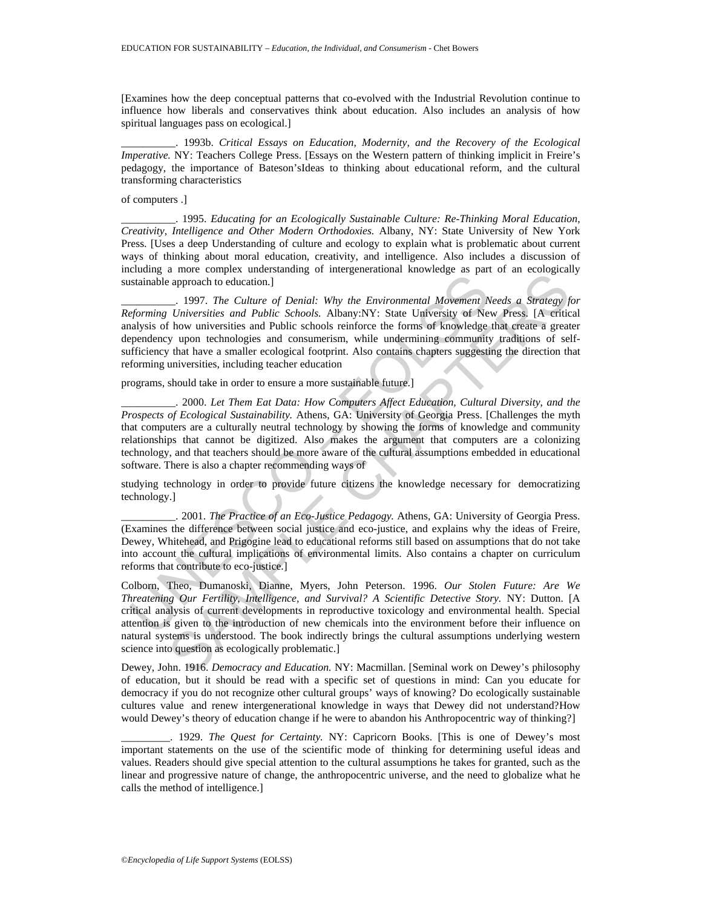[Examines how the deep conceptual patterns that co-evolved with the Industrial Revolution continue to influence how liberals and conservatives think about education. Also includes an analysis of how spiritual languages pass on ecological.]

\_\_\_\_\_\_\_\_\_\_. 1993b. *Critical Essays on Education, Modernity, and the Recovery of the Ecological Imperative.* NY: Teachers College Press. [Essays on the Western pattern of thinking implicit in Freire's pedagogy, the importance of Bateson'sIdeas to thinking about educational reform, and the cultural transforming characteristics

of computers .]

\_\_\_\_\_\_\_\_\_\_. 1995. *Educating for an Ecologically Sustainable Culture: Re-Thinking Moral Education, Creativity, Intelligence and Other Modern Orthodoxies.* Albany, NY: State University of New York Press. [Uses a deep Understanding of culture and ecology to explain what is problematic about current ways of thinking about moral education, creativity, and intelligence. Also includes a discussion of including a more complex understanding of intergenerational knowledge as part of an ecologically sustainable approach to education.]

Istainable approach to education.]<br>
1997. The Culture of Denial: Why the Environmental Movement N<br>
1997. The Culture of Denial: Why the Environmental Movement N<br>
1997. The Culture of Denial: Why the Environmental Movement \_\_\_\_\_\_\_\_\_\_. 1997. *The Culture of Denial: Why the Environmental Movement Needs a Strategy for Reforming Universities and Public Schools.* Albany:NY: State University of New Press. [A critical analysis of how universities and Public schools reinforce the forms of knowledge that create a greater dependency upon technologies and consumerism, while undermining community traditions of selfsufficiency that have a smaller ecological footprint. Also contains chapters suggesting the direction that reforming universities, including teacher education

programs, should take in order to ensure a more sustainable future.]

\_\_\_\_\_\_\_\_\_\_. 2000. *Let Them Eat Data: How Computers Affect Education, Cultural Diversity, and the Prospects of Ecological Sustainability.* Athens, GA: University of Georgia Press. [Challenges the myth that computers are a culturally neutral technology by showing the forms of knowledge and community relationships that cannot be digitized. Also makes the argument that computers are a colonizing technology, and that teachers should be more aware of the cultural assumptions embedded in educational software. There is also a chapter recommending ways of

studying technology in order to provide future citizens the knowledge necessary for democratizing technology.]

\_\_\_\_\_\_\_\_\_\_. 2001. *The Practice of an Eco-Justice Pedagogy.* Athens, GA: University of Georgia Press. (Examines the difference between social justice and eco-justice, and explains why the ideas of Freire, Dewey, Whitehead, and Prigogine lead to educational reforms still based on assumptions that do not take into account the cultural implications of environmental limits. Also contains a chapter on curriculum reforms that contribute to eco-justice.]

a new compara understanding of intergrateurational and ownedge as part of an experimental approach to education.]<br>
- 1997. The Culture of Denial: Why the Environmental Movement Needs a Strategy for Universities and Public Colborn, Theo, Dumanoski, Dianne, Myers, John Peterson. 1996. *Our Stolen Future: Are We Threatening Our Fertility, Intelligence, and Survival? A Scientific Detective Story.* NY: Dutton. [A critical analysis of current developments in reproductive toxicology and environmental health. Special attention is given to the introduction of new chemicals into the environment before their influence on natural systems is understood. The book indirectly brings the cultural assumptions underlying western science into question as ecologically problematic.]

Dewey, John. 1916. *Democracy and Education.* NY: Macmillan. [Seminal work on Dewey's philosophy of education, but it should be read with a specific set of questions in mind: Can you educate for democracy if you do not recognize other cultural groups' ways of knowing? Do ecologically sustainable cultures value and renew intergenerational knowledge in ways that Dewey did not understand?How would Dewey's theory of education change if he were to abandon his Anthropocentric way of thinking?]

\_\_\_\_\_\_\_\_\_. 1929. *The Quest for Certainty.* NY: Capricorn Books. [This is one of Dewey's most important statements on the use of the scientific mode of thinking for determining useful ideas and values. Readers should give special attention to the cultural assumptions he takes for granted, such as the linear and progressive nature of change, the anthropocentric universe, and the need to globalize what he calls the method of intelligence.]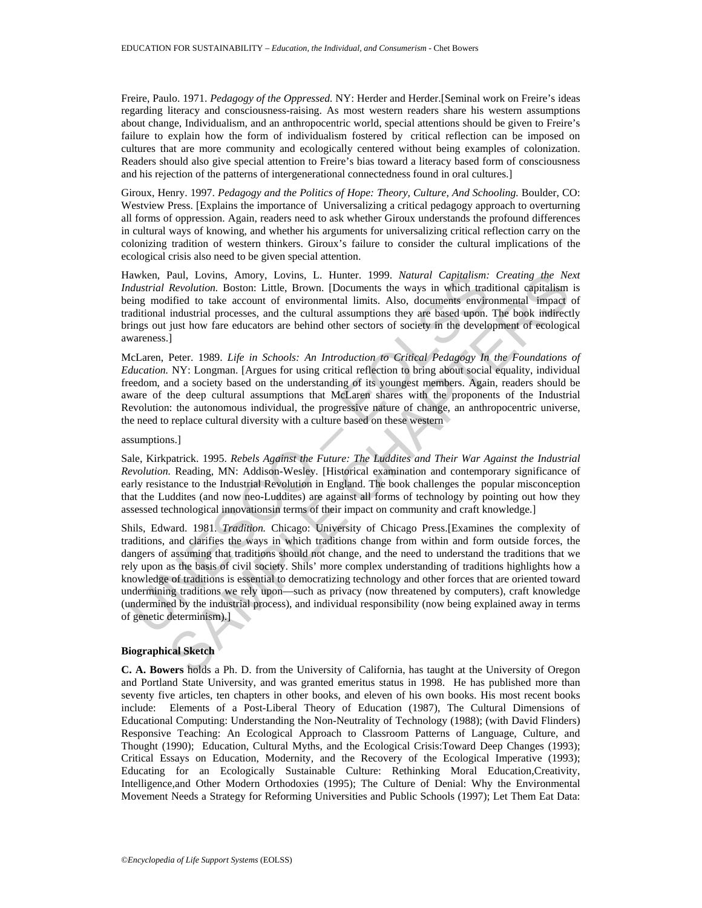Freire, Paulo. 1971. *Pedagogy of the Oppressed.* NY: Herder and Herder.[Seminal work on Freire's ideas regarding literacy and consciousness-raising. As most western readers share his western assumptions about change, Individualism, and an anthropocentric world, special attentions should be given to Freire's failure to explain how the form of individualism fostered by critical reflection can be imposed on cultures that are more community and ecologically centered without being examples of colonization. Readers should also give special attention to Freire's bias toward a literacy based form of consciousness and his rejection of the patterns of intergenerational connectedness found in oral cultures.]

Giroux, Henry. 1997. *Pedagogy and the Politics of Hope: Theory, Culture, And Schooling.* Boulder, CO: Westview Press. [Explains the importance of Universalizing a critical pedagogy approach to overturning all forms of oppression. Again, readers need to ask whether Giroux understands the profound differences in cultural ways of knowing, and whether his arguments for universalizing critical reflection carry on the colonizing tradition of western thinkers. Giroux's failure to consider the cultural implications of the ecological crisis also need to be given special attention.

Hawken, Paul, Lovins, Amory, Lovins, L. Hunter. 1999. *Natural Capitalism: Creating the Next Industrial Revolution.* Boston: Little, Brown. [Documents the ways in which traditional capitalism is being modified to take account of environmental limits. Also, documents environmental impact of traditional industrial processes, and the cultural assumptions they are based upon. The book indirectly brings out just how fare educators are behind other sectors of society in the development of ecological awareness.]

McLaren, Peter. 1989. *Life in Schools: An Introduction to Critical Pedagogy In the Foundations of Education.* NY: Longman. [Argues for using critical reflection to bring about social equality, individual freedom, and a society based on the understanding of its youngest members. Again, readers should be aware of the deep cultural assumptions that McLaren shares with the proponents of the Industrial Revolution: the autonomous individual, the progressive nature of change, an anthropocentric universe, the need to replace cultural diversity with a culture based on these western

#### assumptions.]

Sale, Kirkpatrick. 1995. *Rebels Against the Future: The Luddites and Their War Against the Industrial Revolution.* Reading, MN: Addison-Wesley. [Historical examination and contemporary significance of early resistance to the Industrial Revolution in England. The book challenges the popular misconception that the Luddites (and now neo-Luddites) are against all forms of technology by pointing out how they assessed technological innovationsin terms of their impact on community and craft knowledge.]

awken, Paul, Lovins, Amory, Lovins, L. Hunter. 1999. Natural Capitalism:<br>datarial Revolution. Boston: Little, Brown. [Documents the ways in which tracting modified to take account of environmental limits. Also, documents e Paul, Lowins, Amory, Lowins, L. Hunter. 1999. *Natural Capitalism: Creating the Nee*<br>
Revolution. Bosson: Little, Brown. [Documents the ways in which traditional capitalism<br>fifed to take account of environmental limits. A Shils, Edward. 1981. *Tradition.* Chicago: University of Chicago Press.[Examines the complexity of traditions, and clarifies the ways in which traditions change from within and form outside forces, the dangers of assuming that traditions should not change, and the need to understand the traditions that we rely upon as the basis of civil society. Shils' more complex understanding of traditions highlights how a knowledge of traditions is essential to democratizing technology and other forces that are oriented toward undermining traditions we rely upon—such as privacy (now threatened by computers), craft knowledge (undermined by the industrial process), and individual responsibility (now being explained away in terms of genetic determinism).]

### **Biographical Sketch**

**C. A. Bowers** holds a Ph. D. from the University of California, has taught at the University of Oregon and Portland State University, and was granted emeritus status in 1998. He has published more than seventy five articles, ten chapters in other books, and eleven of his own books. His most recent books include: Elements of a Post-Liberal Theory of Education (1987), The Cultural Dimensions of Educational Computing: Understanding the Non-Neutrality of Technology (1988); (with David Flinders) Responsive Teaching: An Ecological Approach to Classroom Patterns of Language, Culture, and Thought (1990); Education, Cultural Myths, and the Ecological Crisis:Toward Deep Changes (1993); Critical Essays on Education, Modernity, and the Recovery of the Ecological Imperative (1993); Educating for an Ecologically Sustainable Culture: Rethinking Moral Education,Creativity, Intelligence,and Other Modern Orthodoxies (1995); The Culture of Denial: Why the Environmental Movement Needs a Strategy for Reforming Universities and Public Schools (1997); Let Them Eat Data: